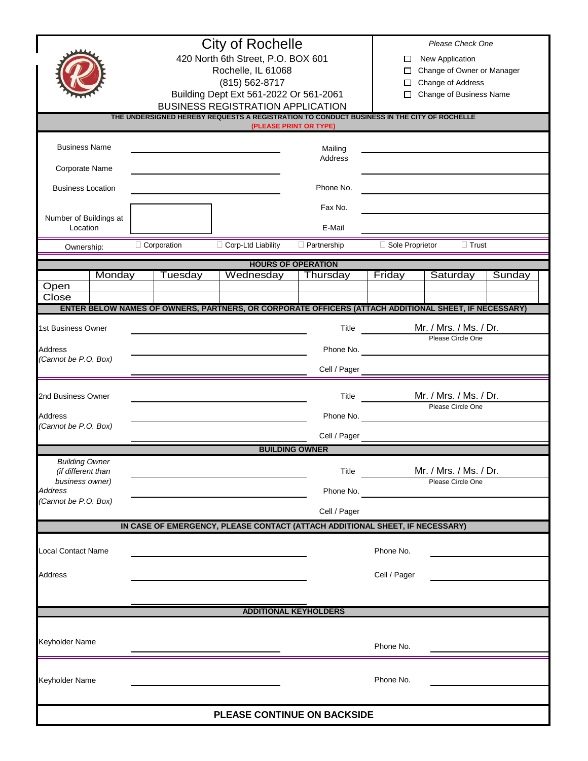|                                                                                                                      | <b>City of Rochelle</b>                                                                              |                                        |                              |                                             | Please Check One        |        |  |  |  |  |
|----------------------------------------------------------------------------------------------------------------------|------------------------------------------------------------------------------------------------------|----------------------------------------|------------------------------|---------------------------------------------|-------------------------|--------|--|--|--|--|
|                                                                                                                      | 420 North 6th Street, P.O. BOX 601                                                                   |                                        |                              | New Application<br>□                        |                         |        |  |  |  |  |
|                                                                                                                      | Rochelle, IL 61068<br>(815) 562-8717                                                                 |                                        |                              | Change of Owner or Manager<br>□             |                         |        |  |  |  |  |
|                                                                                                                      |                                                                                                      |                                        |                              | Change of Address<br>$\Box$                 |                         |        |  |  |  |  |
|                                                                                                                      |                                                                                                      | Building Dept Ext 561-2022 Or 561-2061 |                              | П                                           | Change of Business Name |        |  |  |  |  |
|                                                                                                                      | <b>BUSINESS REGISTRATION APPLICATION</b>                                                             |                                        |                              |                                             |                         |        |  |  |  |  |
| THE UNDERSIGNED HEREBY REQUESTS A REGISTRATION TO CONDUCT BUSINESS IN THE CITY OF ROCHELLE<br>(PLEASE PRINT OR TYPE) |                                                                                                      |                                        |                              |                                             |                         |        |  |  |  |  |
|                                                                                                                      |                                                                                                      |                                        |                              |                                             |                         |        |  |  |  |  |
| <b>Business Name</b>                                                                                                 |                                                                                                      |                                        | Mailing                      |                                             |                         |        |  |  |  |  |
| Corporate Name                                                                                                       |                                                                                                      |                                        | Address                      |                                             |                         |        |  |  |  |  |
|                                                                                                                      |                                                                                                      |                                        |                              |                                             |                         |        |  |  |  |  |
| <b>Business Location</b>                                                                                             |                                                                                                      |                                        | Phone No.                    |                                             |                         |        |  |  |  |  |
|                                                                                                                      |                                                                                                      |                                        | Fax No.                      |                                             |                         |        |  |  |  |  |
| Number of Buildings at                                                                                               |                                                                                                      |                                        |                              |                                             |                         |        |  |  |  |  |
| Location                                                                                                             |                                                                                                      | E-Mail                                 |                              |                                             |                         |        |  |  |  |  |
| Ownership:                                                                                                           | Corporation                                                                                          | Corp-Ltd Liability                     | $\Box$ Partnership           | Sole Proprietor                             | $\Box$ Trust            |        |  |  |  |  |
| <b>HOURS OF OPERATION</b>                                                                                            |                                                                                                      |                                        |                              |                                             |                         |        |  |  |  |  |
| Monday                                                                                                               | Tuesday                                                                                              | Wednesday                              | Thursday                     | Friday                                      | Saturday                | Sunday |  |  |  |  |
| Open                                                                                                                 |                                                                                                      |                                        |                              |                                             |                         |        |  |  |  |  |
| Close                                                                                                                | ENTER BELOW NAMES OF OWNERS, PARTNERS, OR CORPORATE OFFICERS (ATTACH ADDITIONAL SHEET, IF NECESSARY) |                                        |                              |                                             |                         |        |  |  |  |  |
|                                                                                                                      |                                                                                                      |                                        |                              |                                             |                         |        |  |  |  |  |
| 1st Business Owner                                                                                                   |                                                                                                      |                                        |                              | Title                                       | Mr. / Mrs. / Ms. / Dr.  |        |  |  |  |  |
| Address                                                                                                              |                                                                                                      |                                        | Phone No.                    |                                             | Please Circle One       |        |  |  |  |  |
| (Cannot be P.O. Box)                                                                                                 |                                                                                                      |                                        |                              |                                             |                         |        |  |  |  |  |
|                                                                                                                      |                                                                                                      |                                        | Cell / Pager                 |                                             |                         |        |  |  |  |  |
|                                                                                                                      |                                                                                                      |                                        |                              |                                             |                         |        |  |  |  |  |
| 2nd Business Owner                                                                                                   |                                                                                                      |                                        | Title                        | Mr. / Mrs. / Ms. / Dr.<br>Please Circle One |                         |        |  |  |  |  |
| Address                                                                                                              |                                                                                                      |                                        | Phone No.                    |                                             |                         |        |  |  |  |  |
| (Cannot be P.O. Box)                                                                                                 |                                                                                                      |                                        |                              |                                             |                         |        |  |  |  |  |
|                                                                                                                      |                                                                                                      |                                        | Cell / Pager                 |                                             |                         |        |  |  |  |  |
|                                                                                                                      |                                                                                                      |                                        | <b>BUILDING OWNER</b>        |                                             |                         |        |  |  |  |  |
| <b>Building Owner</b><br>(if different than                                                                          |                                                                                                      |                                        |                              | Title                                       | Mr. / Mrs. / Ms. / Dr.  |        |  |  |  |  |
| business owner)                                                                                                      |                                                                                                      |                                        |                              |                                             | Please Circle One       |        |  |  |  |  |
| Address                                                                                                              |                                                                                                      |                                        | Phone No.                    |                                             |                         |        |  |  |  |  |
| (Cannot be P.O. Box)                                                                                                 |                                                                                                      |                                        | Cell / Pager                 |                                             |                         |        |  |  |  |  |
|                                                                                                                      | IN CASE OF EMERGENCY, PLEASE CONTACT (ATTACH ADDITIONAL SHEET, IF NECESSARY)                         |                                        |                              |                                             |                         |        |  |  |  |  |
|                                                                                                                      |                                                                                                      |                                        |                              |                                             |                         |        |  |  |  |  |
| <b>Local Contact Name</b>                                                                                            |                                                                                                      |                                        |                              | Phone No.                                   |                         |        |  |  |  |  |
|                                                                                                                      |                                                                                                      |                                        |                              |                                             |                         |        |  |  |  |  |
| <b>Address</b>                                                                                                       |                                                                                                      |                                        |                              | Cell / Pager                                |                         |        |  |  |  |  |
|                                                                                                                      |                                                                                                      |                                        |                              |                                             |                         |        |  |  |  |  |
|                                                                                                                      |                                                                                                      |                                        | <b>ADDITIONAL KEYHOLDERS</b> |                                             |                         |        |  |  |  |  |
|                                                                                                                      |                                                                                                      |                                        |                              |                                             |                         |        |  |  |  |  |
| Keyholder Name                                                                                                       |                                                                                                      |                                        |                              |                                             |                         |        |  |  |  |  |
|                                                                                                                      |                                                                                                      |                                        |                              | Phone No.                                   |                         |        |  |  |  |  |
|                                                                                                                      |                                                                                                      |                                        |                              |                                             |                         |        |  |  |  |  |
| Keyholder Name                                                                                                       |                                                                                                      |                                        |                              | Phone No.                                   |                         |        |  |  |  |  |
|                                                                                                                      |                                                                                                      |                                        |                              |                                             |                         |        |  |  |  |  |
|                                                                                                                      |                                                                                                      |                                        |                              |                                             |                         |        |  |  |  |  |
| PLEASE CONTINUE ON BACKSIDE                                                                                          |                                                                                                      |                                        |                              |                                             |                         |        |  |  |  |  |